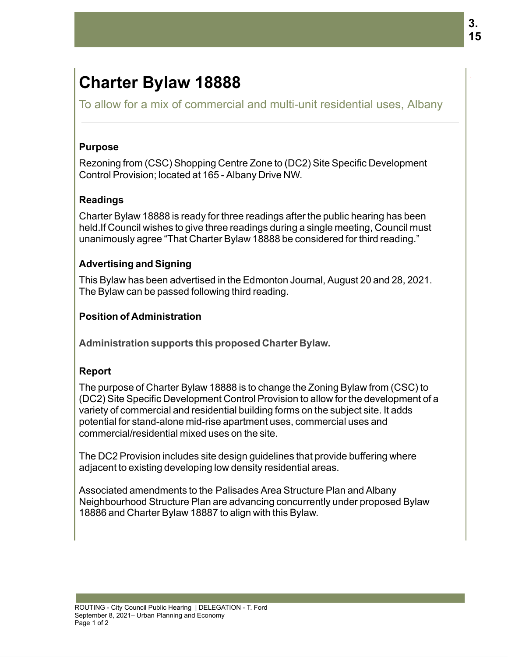# **Charter Bylaw 18888**

To allow for a mix of commercial and multi-unit residential uses, Albany

#### **Purpose**

Rezoning from (CSC) Shopping Centre Zone to (DC2) Site Specific Development Control Provision; located at 165 - Albany Drive NW.

## **Readings**

Charter Bylaw 18888 is ready for three readings after the public hearing has been held. If Council wishes to give three readings during a single meeting, Council must unanimously agree "That Charter Bylaw 18888 be considered for third reading."

### **Advertising and Signing**

This Bylaw has been advertised in the Edmonton Journal, August 20 and 28, 2021. The Bylaw can be passed following third reading.

### **Position of Administration**

**Administration supports this proposed Charter Bylaw.** 

### **Report**

The purpose of Charter Bylaw 18888 is to change the Zoning Bylaw from (CSC) to (DC2) Site Specific Development Control Provision to allow for the development of a variety of commercial and residential building forms on the subject site. It adds potential for stand-alone mid-rise apartment uses, commercial uses and commercial/residential mixed uses on the site.

The DC2 Provision includes site design guidelines that provide buffering where adjacent to existing developing low density residential areas.

Associated amendments to the Palisades Area Structure Plan and Albany Neighbourhood Structure Plan are advancing concurrently under proposed Bylaw 18886 and Charter Bylaw 18887 to align with this Bylaw.

.